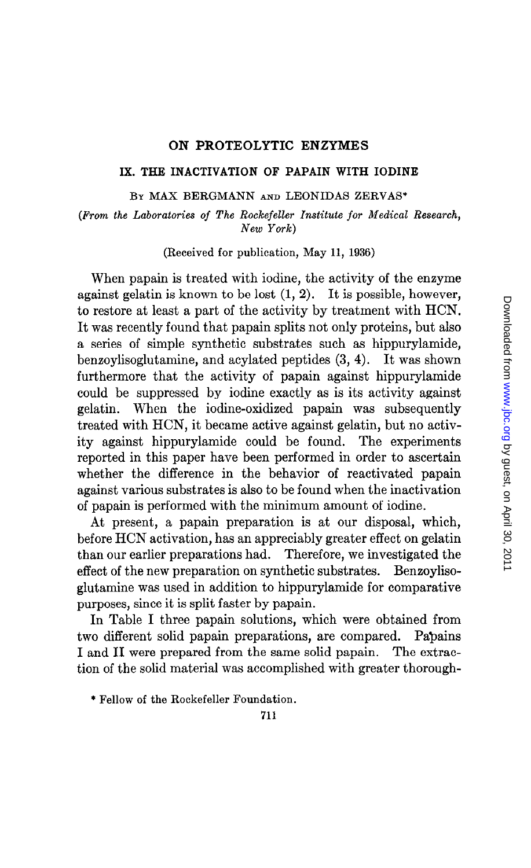# ON PROTEOLYTIC ENZYMES

## IX. THE INACTIVATION OF PAPAIN WITH IODINE

### BY MAX BERGMANN AND LEONIDAS ZERVAS\*

(From the Laboratories of The Rockefeller Institute for Medical Research, New York)

(Received for publication, May 11, 1936)

When papain is treated with iodine, the activity of the enzyme against gelatin is known to be lost  $(1, 2)$ . It is possible, however, to restore at least a part of the activity by treatment with HCN. It was recently found that papain splits not only proteins, but also a series of simple synthetic substrates such as hippurylamide, benzoylisoglutamine, and acylated peptides (3, 4). It was shown furthermore that the activity of papain against hippurylamide could be suppressed by iodine exactly as is its activity against gelatin. When the iodine-oxidized papain was subsequently treated with HCN, it became active against gelatin, but no activity against hippurylamide could be found. The experiments reported in this paper have been performed in order to ascertain whether the difference in the behavior of reactivated papain against various substrates is also to be found when the inactivation of papain is performed with the minimum amount of iodine.

At present, a papain preparation is at our disposal, which, before HCN activation, has an appreciably greater effect on gelatin than our earlier preparations had. Therefore, we investigated the effect of the new preparation on synthetic substrates. Benzoylisoglutamine was used in addition to hippurylamide for comparative purposes, since it is split faster by papain.

In Table I three papain solutions, which were obtained from two different solid papain preparations, are compared. Papains I and II were prepared from the same solid papain. The extraction of the solid material was accomplished with greater thorough-

\* Fellow of the Rockefeller Foundation.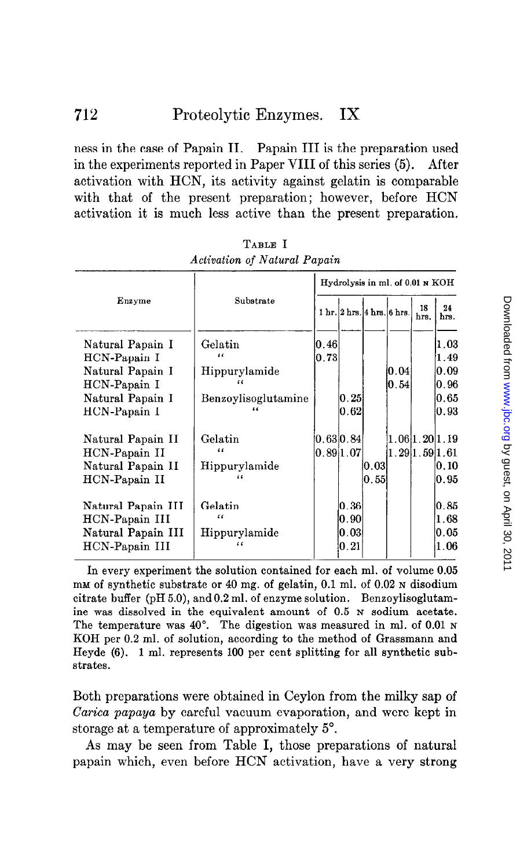ness in the case of Papain II. Papain III is the preparation used in the experiments reported in Paper VIII of this series (5). After activation with HCN, its activity against gelatin is comparable with that of the present preparation; however, before HCN activation it is much less active than the present preparation.

| Enzyme                                                  |                                        | Hydrolysis in ml. of 0.01 N KOH |                                                              |                    |                |                                |                |  |
|---------------------------------------------------------|----------------------------------------|---------------------------------|--------------------------------------------------------------|--------------------|----------------|--------------------------------|----------------|--|
|                                                         | Substrate                              |                                 | $1 \text{ hr.} 2 \text{ hrs.} 4 \text{ hrs.} 6 \text{ hrs.}$ |                    |                | 18<br>hrs.                     | 24<br>hrs.     |  |
| Natural Papain I<br>HCN-Papain I                        | Gelatin<br>$\epsilon$                  | 0.46<br>0.73                    |                                                              |                    |                |                                | 1.03<br>1.49   |  |
| Natural Papain I<br>HCN-Papain I                        | Hippurylamide                          |                                 |                                                              |                    | 10.04<br> 0.54 |                                | 10.09<br>0.96  |  |
| Natural Papain I<br>HCN-Papain I                        | Benzoylisoglutamine<br>$\epsilon$      |                                 | 0.25<br>0.62                                                 |                    |                |                                | 10.65<br> 0.93 |  |
| Natural Papain II<br>HCN-Papain II<br>Natural Papain II | Gelatin<br>$\epsilon$<br>Hippurylamide |                                 | [0.63 0.84]<br>$\vert 0.89\vert 1.07$                        | IO.O3I             |                | 1.06 1.20 1.19<br>1.291.591.61 | 0.10           |  |
| HCN-Papain II                                           |                                        |                                 |                                                              | $\vert 0.55 \vert$ |                |                                | 10.95          |  |
| Natural Papain III<br>HCN-Papain III                    | Gelatin<br>$\epsilon$                  |                                 | $\vert 0.36 \vert$<br>10.901                                 |                    |                |                                | 10.85<br>1.68  |  |
| Natural Papain III<br>HCN-Papain III                    | Hippurylamide                          |                                 | 10.031<br>0.21                                               |                    |                |                                | 10.05<br>1.06  |  |

TABLE I Activation of Natural Papain

In every experiment the solution contained for each ml. of volume 0.05  $m$ M of synthetic substrate or 40 mg. of gelatin, 0.1 ml. of 0.02  $\mu$  disodium citrate buffer (pH 5.0), and 0.2 ml. of enzyme solution. Bensoylisoglutamine was dissolved in the equivalent amount of 0.5 N sodium acetate. The temperature was 40°. The digestion was measured in ml. of 0.01 N KOH per 0.2 ml. of solution, according to the method of Grassmann and Heyde (6). 1 ml. represents 100 per cent splitting for all synthetic substrates.

Both preparations were obtained in Ceylon from the milky sap of Carica papaya by careful vacuum evaporation, and were kept in storage at a temperature of approximately 5".

As may be seen from Table I, those preparations of natural papain which, even before HCN activation, have a very strong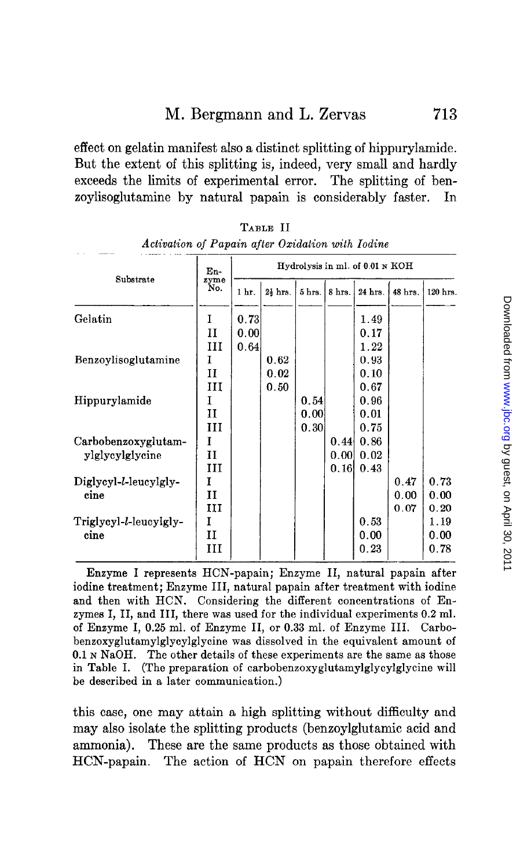effect on gelatin manifest also a distinct splitting of hippurylamide. But the extent of this splitting is, indeed, very small and hardly exceeds the limits of experimental error. The splitting of benzoylisoglutamine by natural papain is considerably faster. In

| Substrate                      | $En-$<br>zyme<br>No. | Hydrolysis in ml. of 0.01 N KOH |                     |        |        |         |         |          |
|--------------------------------|----------------------|---------------------------------|---------------------|--------|--------|---------|---------|----------|
|                                |                      | 1 <sub>hr</sub>                 | $2\frac{1}{3}$ hrs. | 5 hrs. | 8 hrs. | 24 hrs. | 48 hrs. | 120 hrs. |
| Gelatin                        | I                    | 0.73                            |                     |        |        | 1.49    |         |          |
|                                | н                    | 0.00                            |                     |        |        | 0.17    |         |          |
|                                | Ш                    | 0.64                            |                     |        |        | 1.22    |         |          |
| Benzoylisoglutamine            | I                    |                                 | 0.62                |        |        | 0.93    |         |          |
|                                | $_{\rm II}$          |                                 | 0.02                |        |        | 0.10    |         |          |
|                                | ш                    |                                 | 0.50                |        |        | 0.67    |         |          |
| Hippurylamide                  | I                    |                                 |                     | 0.54   |        | 0.96    |         |          |
|                                | и                    |                                 |                     | 0.00   |        | 0.01    |         |          |
|                                | Ш                    |                                 |                     | 0.30   |        | 0.75    |         |          |
| Carbobenzoxyglutam-            | I                    |                                 |                     |        | 0.44   | 0.86    |         |          |
| ylglycylglycine                | II                   |                                 |                     |        | 0.001  | 0.02    |         |          |
|                                | III                  |                                 |                     |        | 0.16   | 0.43    |         |          |
| Diglycyl-l-leucylgly-<br>cine  | 1                    |                                 |                     |        |        |         | 0.47    | 0.73     |
|                                | $\mathbf{I}$         |                                 |                     |        |        |         | 0.00    | 0.00     |
|                                | ш                    |                                 |                     |        |        |         | 0.07    | 0.20     |
| Triglycyl-l-leucylgly-<br>cine | I                    |                                 |                     |        |        | 0.53    |         | 1.19     |
|                                | п                    |                                 |                     |        |        | 0.00    |         | 0.00     |
|                                | ш                    |                                 |                     |        |        | 0.23    |         | 0.78     |

*Activation of Papain after Oxidation with Iodin* TABLE II

Enzyme I represents HCN-papain; Enzyme II, natural papain after iodine treatment; Enzyme III, natural papain after treatment with iodine and then with HCN. Considering the different concentrations of Enzymes I, II, and III, there was used for the individual experiments 0.2 ml. of Enzyme I, 0.25 ml. of Enzyme II, or 0.33 ml. of Enzyme III. Carbobenzoxyglutamylglycylglycine was dissolved in the equivalent amount of 0.1 N NaOH. The other details of these experiments are the same as those in Table I. (The preparation of carbobenzoxyglutamylglycylglycine will be described in a later communication.)

this case, one may attain a high splitting without difficulty and may also isolate the splitting products (benzoylglutamic acid and ammonia). These are the same products as those obtained with HCN-papain. The action of HCN on papain therefore effects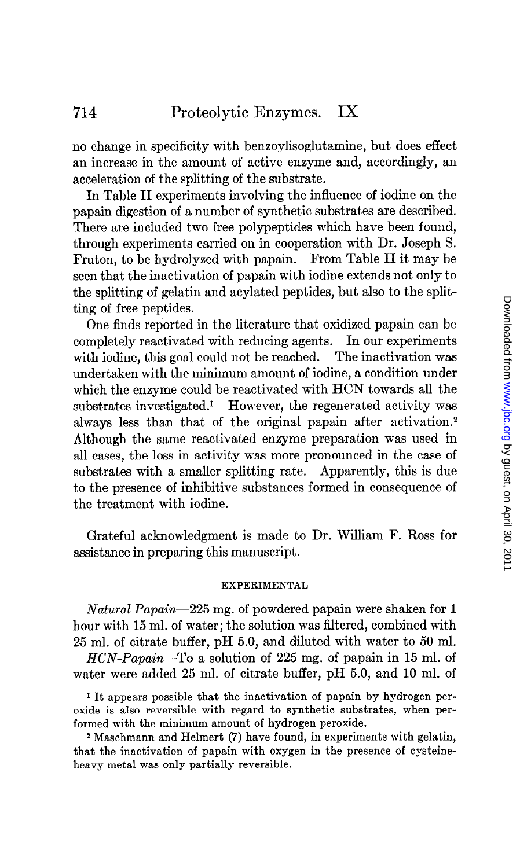no change in specificity with benxoylisoglutamine, but does effect an increase in the amount of active enzyme and, accordingly, an acceleration of the splitting of the substrate.

In Table II experiments involving the influence of iodine on the papain digestion of a number of synthetic substrates are described. There are included two free polypeptides which have been found, through experiments carried on in cooperation with Dr. Joseph S. Fruton, to be hydrolyzed with papain. From Table II it may be seen that the inactivation of papain with iodine extends not only to the splitting of gelatin and acylated peptides, but also to the splitting of free peptides.

One finds reported in the literature that oxidized papain can be completely reactivated with reducing agents. In our experiments with iodine, this goal could not be reached. The inactivation was undertaken with the minimum amount of iodine, a condition under which the enzyme could be reactivated with HCN towards all the substrates investigated.<sup>1</sup> However, the regenerated activity was always less than that of the original papain after activation.2 Although the same reactivated enzyme preparation was used in all cases, the loss in activity was more pronounced in the case of substrates with a smaller splitting rate. Apparently, this is due to the presence of inhibitive substances formed in consequence of the treatment with iodine.

Grateful acknowledgment is made to Dr. William F. Ross for assistance in preparing this manuscript.

#### EXPERIMENTAL

Natural Papain-225 mg. of powdered papain were shaken for 1 hour with 15 ml. of water; the solution was filtered, combined with 25 ml. of citrate buffer, pH 5.0, and diluted with water to 50 ml.

 $HCN-Papain$ —To a solution of 225 mg. of papain in 15 ml. of water were added 25 ml. of citrate buffer, pH 5.0, and 10 ml. of

1 It appears possible that the inactivation of papain by hydrogen peroxide is also reversible with regard to synthetic substrates, when performed with the minimum amount of hydrogen peroxide.

2 Maschmann and Helmert (7) have found, in experiments with gelatin, that the inactivation of papain with oxygen in the presence of cysteineheavy metal was only partially reversible.